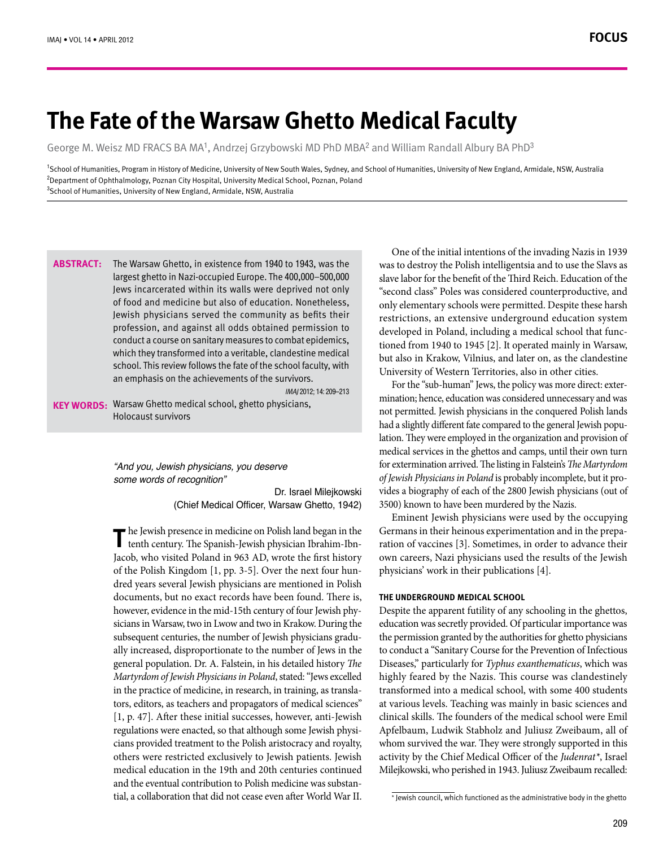# **The Fate of the Warsaw Ghetto Medical Faculty**

George M. Weisz MD FRACS BA MA<sup>1</sup>, Andrzej Grzybowski MD PhD MBA<sup>2</sup> and William Randall Albury BA PhD<sup>3</sup>

<sup>1</sup>School of Humanities, Program in History of Medicine, University of New South Wales, Sydney, and School of Humanities, University of New England, Armidale, NSW, Australia <sup>2</sup>Department of Ophthalmology, Poznan City Hospital, University Medical School, Poznan, Poland  $^3$ School of Humanities, University of New England, Armidale, NSW, Australia

The Warsaw Ghetto, in existence from 1940 to 1943, was the largest ghetto in Nazi-occupied Europe. The 400,000-500,000 Jews incarcerated within its walls were deprived not only of food and medicine but also of education. Nonetheless, Jewish physicians served the community as befits their profession, and against all odds obtained permission to conduct a course on sanitary measures to combat epidemics, which they transformed into a veritable, clandestine medical school. This review follows the fate of the school faculty, with an emphasis on the achievements of the survivors. **:Abstract**

IMAJ 2012; 14: 209-213

KEY WORDS: Warsaw Ghetto medical school, ghetto physicians, Holocaust survivors

> *"And you, Jewish physicians, you deserve* some words of recognition"

> > Dr. Israel Milejkowski (Chief Medical Officer, Warsaw Ghetto, 1942)

the Jewish presence in medicine on Polish land began in the The Jewish presence in medicine on Polish land began in th<br> **The tenth century.** The Spanish-Jewish physician Ibrahim-Ibn Jacob, who visited Poland in 963 AD, wrote the first history dred years several Jewish physicians are mentioned in Polish of the Polish Kingdom  $[1, pp. 3-5]$ . Over the next four hundocuments, but no exact records have been found. There is, sicians in Warsaw, two in Lwow and two in Krakow. During the however, evidence in the mid-15th century of four Jewish phyally increased, disproportionate to the number of Jews in the subsequent centuries, the number of Jewish physicians gradugeneral population. Dr. A. Falstein, in his detailed history *The* Martyrdom of Jewish Physicians in Poland, stated: "Jews excelled tors, editors, as teachers and propagators of medical sciences" in the practice of medicine, in research, in training, as transla- $[1, p. 47]$ . After these initial successes, however, anti-Jewish cians provided treatment to the Polish aristocracy and royalty, regulations were enacted, so that although some Jewish physiothers were restricted exclusively to Jewish patients. Jewish medical education in the 19th and 20th centuries continued tial, a collaboration that did not cease even after World War II. and the eventual contribution to Polish medicine was substan-

One of the initial intentions of the invading Nazis in 1939 was to destroy the Polish intelligentsia and to use the Slavs as slave labor for the benefit of the Third Reich. Education of the "second class" Poles was considered counterproductive, and only elementary schools were permitted. Despite these harsh restrictions, an extensive underground education system tioned from 1940 to 1945 [2]. It operated mainly in Warsaw, developed in Poland, including a medical school that funcbut also in Krakow, Vilnius, and later on, as the clandestine University of Western Territories, also in other cities.

mination; hence, education was considered unnecessary and was For the "sub-human" Jews, the policy was more direct: externot permitted. Jewish physicians in the conquered Polish lands lation. They were employed in the organization and provision of had a slightly different fate compared to the general Jewish popumedical services in the ghettos and camps, until their own turn for extermination arrived. The listing in Falstein's *The Martyrdom* vides a biography of each of the 2800 Jewish physicians (out of pro *it lewish Physicians in Poland* is probably incomplete, but it pro-3500) known to have been murdered by the Nazis.

Eminent Jewish physicians were used by the occupying ration of vaccines [3]. Sometimes, in order to advance their Germans in their heinous experimentation and in the prepaown careers, Nazi physicians used the results of the Jewish physicians' work in their publications [4].

### **THE UNDERGROUND MEDICAL SCHOOL**

Despite the apparent futility of any schooling in the ghettos, education was secretly provided. Of particular importance was the permission granted by the authorities for ghetto physicians to conduct a "Sanitary Course for the Prevention of Infectious Diseases," particularly for Typhus exanthematicus, which was highly feared by the Nazis. This course was clandestinely transformed into a medical school, with some 400 students at various levels. Teaching was mainly in basic sciences and clinical skills. The founders of the medical school were Emil Apfelbaum, Ludwik Stabholz and Juliusz Zweibaum, all of whom survived the war. They were strongly supported in this activity by the Chief Medical Officer of the *Judenrat*<sup>\*</sup>, Israel Milejkowski, who perished in 1943. Juliusz Zweibaum recalled:

<sup>\*</sup> Jewish council, which functioned as the administrative body in the ghetto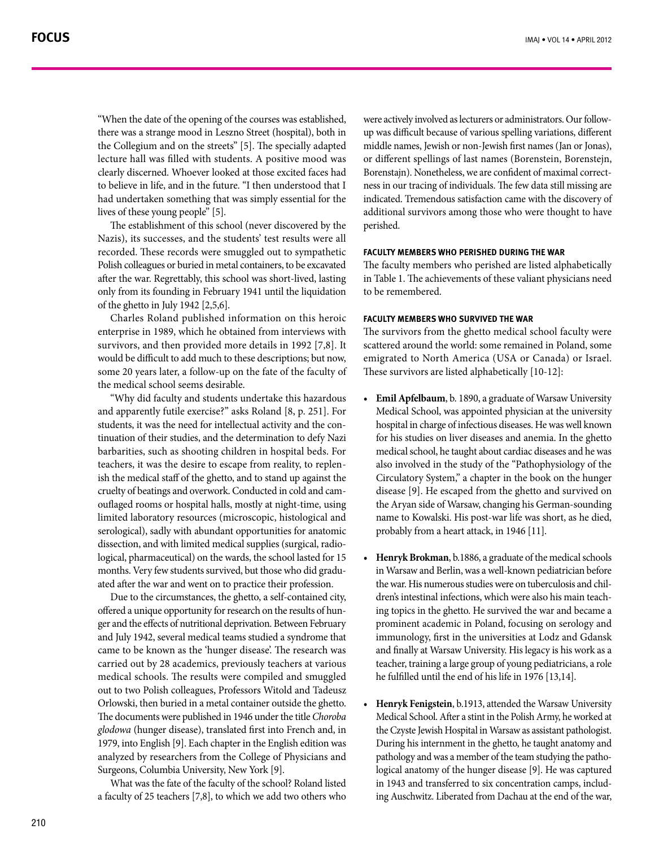"When the date of the opening of the courses was established, there was a strange mood in Leszno Street (hospital), both in the Collegium and on the streets" [5]. The specially adapted lecture hall was filled with students. A positive mood was clearly discerned. Whoever looked at those excited faces had to believe in life, and in the future. "I then understood that I had undertaken something that was simply essential for the lives of these young people" [5].

The establishment of this school (never discovered by the Nazis), its successes, and the students' test results were all recorded. These records were smuggled out to sympathetic Polish colleagues or buried in metal containers, to be excavated after the war. Regrettably, this school was short-lived, lasting only from its founding in February 1941 until the liquidation of the ghetto in July 1942  $[2,5,6]$ .

Charles Roland published information on this heroic enterprise in 1989, which he obtained from interviews with survivors, and then provided more details in 1992 [7,8]. It would be difficult to add much to these descriptions; but now, some 20 years later, a follow-up on the fate of the faculty of the medical school seems desirable

"Why did faculty and students undertake this hazardous and apparently futile exercise?" asks Roland  $[8, p. 251]$ . For tinuation of their studies, and the determination to defy Nazi students, it was the need for intellectual activity and the conbarbarities, such as shooting children in hospital beds. For ish the medical staff of the ghetto, and to stand up against the teachers, it was the desire to escape from reality, to replenouflaged rooms or hospital halls, mostly at night-time, using cruelty of beatings and overwork. Conducted in cold and camlimited laboratory resources (microscopic, histological and serological), sadly with abundant opportunities for anatomic logical, pharmaceutical) on the wards, the school lasted for 15 dissection, and with limited medical supplies (surgical, radioated after the war and went on to practice their profession. months. Very few students survived, but those who did gradu-

Due to the circumstances, the ghetto, a self-contained city, ger and the effects of nutritional deprivation. Between February offered a unique opportunity for research on the results of hunand July 1942, several medical teams studied a syndrome that came to be known as the 'hunger disease'. The research was carried out by 28 academics, previously teachers at various medical schools. The results were compiled and smuggled out to two Polish colleagues, Professors Witold and Tadeusz Orlowski, then buried in a metal container outside the ghetto. The documents were published in 1946 under the title Choroba glodowa (hunger disease), translated first into French and, in 1979, into English [9]. Each chapter in the English edition was analyzed by researchers from the College of Physicians and Surgeons, Columbia University, New York [9].

What was the fate of the faculty of the school? Roland listed a faculty of 25 teachers  $[7,8]$ , to which we add two others who up was difficult because of various spelling variations, different were actively involved as lecturers or administrators. Our followmiddle names, Jewish or non-Jewish first names (Jan or Jonas), or different spellings of last names (Borenstein, Borenstein, ness in our tracing of individuals. The few data still missing are Borenstajn). Nonetheless, we are confident of maximal correctindicated. Tremendous satisfaction came with the discovery of additional survivors among those who were thought to have .perished

#### **FACULTY MEMBERS WHO PERISHED DURING THE WAR**

The faculty members who perished are listed alphabetically in Table 1. The achievements of these valiant physicians need to be remembered

#### **FACULTY MEMBERS WHO SURVIVED THE WAR**

The survivors from the ghetto medical school faculty were scattered around the world: some remained in Poland, some emigrated to North America (USA or Canada) or Israel. These survivors are listed alphabetically [10-12]:

- Emil Apfelbaum, b. 1890, a graduate of Warsaw University Medical School, was appointed physician at the university hospital in charge of infectious diseases. He was well known for his studies on liver diseases and anemia. In the ghetto medical school, he taught about cardiac diseases and he was also involved in the study of the "Pathophysiology of the Circulatory System," a chapter in the book on the hunger disease [9]. He escaped from the ghetto and survived on the Aryan side of Warsaw, changing his German-sounding name to Kowalski. His post-war life was short, as he died, probably from a heart attack, in 1946 [11].
- Henryk Brokman, b.1886, a graduate of the medical schools in Warsaw and Berlin, was a well-known pediatrician before ing topics in the ghetto. He survived the war and became a dren's intestinal infections, which were also his main teachthe war. His numerous studies were on tuberculosis and chilprominent academic in Poland, focusing on serology and immunology, first in the universities at Lodz and Gdansk and finally at Warsaw University. His legacy is his work as a teacher, training a large group of young pediatricians, a role he fulfilled until the end of his life in 1976 [13,14].
- Henryk Fenigstein, b.1913, attended the Warsaw University Medical School. After a stint in the Polish Army, he worked at the Czyste Jewish Hospital in Warsaw as assistant pathologist. During his internment in the ghetto, he taught anatomy and logical anatomy of the hunger disease [9]. He was captured pathology and was a member of the team studying the pathoing Auschwitz. Liberated from Dachau at the end of the war, in 1943 and transferred to six concentration camps, includ-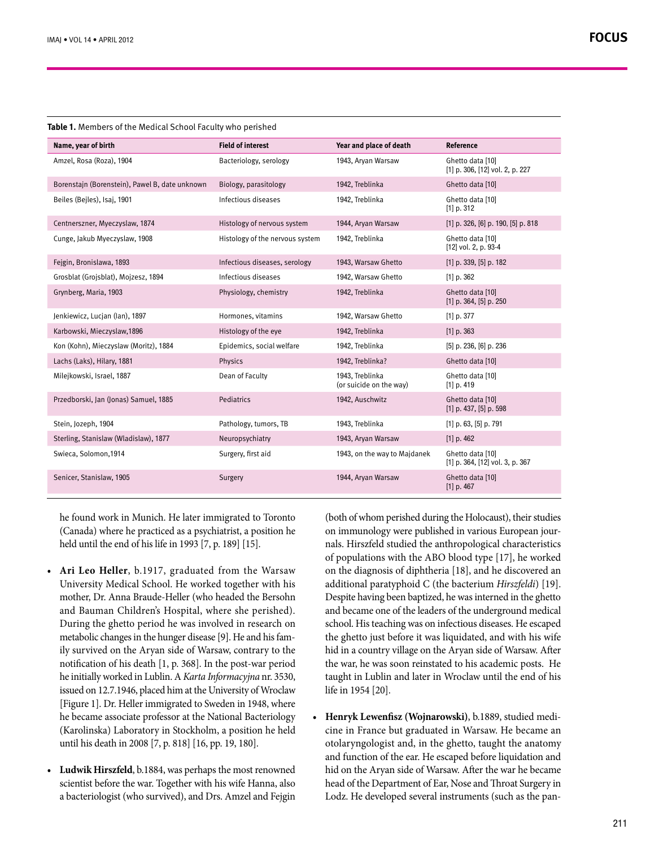| Name, year of birth                            | <b>Field of interest</b>        | Year and place of death                    | Reference                                               |  |  |
|------------------------------------------------|---------------------------------|--------------------------------------------|---------------------------------------------------------|--|--|
| Amzel, Rosa (Roza), 1904                       | Bacteriology, serology          | 1943, Aryan Warsaw                         | Ghetto data [10]<br>[1] p. 306, [12] vol. 2, p. 227     |  |  |
| Borenstajn (Borenstein), Pawel B, date unknown | Biology, parasitology           | 1942, Treblinka                            | Ghetto data [10]                                        |  |  |
| Beiles (Bejles), Isaj, 1901                    | Infectious diseases             | 1942, Treblinka                            | Ghetto data [10]<br>$[1]$ p. 312                        |  |  |
| Centnerszner, Myeczyslaw, 1874                 | Histology of nervous system     | 1944, Aryan Warsaw                         | $[1]$ p. 326, [6] p. 190, [5] p. 818                    |  |  |
| Cunge, Jakub Myeczyslaw, 1908                  | Histology of the nervous system | 1942, Treblinka                            | Ghetto data [10]<br>[12] vol. 2, p. 93-4                |  |  |
| Fejgin, Bronislawa, 1893                       | Infectious diseases, serology   | 1943, Warsaw Ghetto                        | $[1]$ p. 339, $[5]$ p. 182                              |  |  |
| Grosblat (Grojsblat), Mojzesz, 1894            | Infectious diseases             | 1942, Warsaw Ghetto                        | $[1]$ p. 362                                            |  |  |
| Grynberg, Maria, 1903                          | Physiology, chemistry           | 1942, Treblinka                            | Ghetto data [10]<br>$[1]$ p. 364, $[5]$ p. 250          |  |  |
| Jenkiewicz, Lucjan (lan), 1897                 | Hormones, vitamins              | 1942, Warsaw Ghetto                        | $[1]$ p. 377                                            |  |  |
| Karbowski, Mieczysław, 1896                    | Histology of the eye            | 1942, Treblinka                            | $[1]$ p. 363                                            |  |  |
| Kon (Kohn), Mieczyslaw (Moritz), 1884          | Epidemics, social welfare       | 1942, Treblinka                            | $[5]$ p. 236, $[6]$ p. 236                              |  |  |
| Lachs (Laks), Hilary, 1881                     | Physics                         | 1942, Treblinka?                           | Ghetto data [10]                                        |  |  |
| Milejkowski, Israel, 1887                      | Dean of Faculty                 | 1943, Treblinka<br>(or suicide on the way) | Ghetto data [10]<br>$[1]$ p. 419                        |  |  |
| Przedborski, Jan (Jonas) Samuel, 1885          | Pediatrics                      | 1942, Auschwitz                            | Ghetto data [10]<br>$[1]$ p. 437, $[5]$ p. 598          |  |  |
| Stein, Jozeph, 1904                            | Pathology, tumors, TB           | 1943, Treblinka                            | $[1]$ p. 63, $[5]$ p. 791                               |  |  |
| Sterling, Stanislaw (Wladislaw), 1877          | Neuropsychiatry                 | 1943, Aryan Warsaw                         | $[1]$ p. 462                                            |  |  |
| Swieca, Solomon, 1914                          | Surgery, first aid              | 1943, on the way to Majdanek               | Ghetto data [10]<br>$[1]$ p. 364, $[12]$ vol. 3, p. 367 |  |  |
| Senicer, Stanislaw, 1905                       | Surgery                         | 1944, Aryan Warsaw                         | Ghetto data [10]<br>$[1]$ p. 467                        |  |  |
|                                                |                                 |                                            |                                                         |  |  |

**Table 1.** Members of the Medical School Faculty who perished

(Canada) where he practiced as a psychiatrist, a position he held until the end of his life in 1993  $[7, p. 189]$   $[15]$ .

- For found work in Munich. He later in<br>migrated to Toronto (both of whom perished durighter Holocaust), their studies<br>durighter and the summandogy were published in various European journed<br>held until the end of his life i • Ari Leo Heller, b.1917, graduated from the Warsaw University Medical School. He worked together with his mother, Dr. Anna Braude-Heller (who headed the Bersohn and Bauman Children's Hospital, where she perished). During the ghetto period he was involved in research on ily survived on the Aryan side of Warsaw, contrary to the metabolic changes in the hunger disease [9]. He and his famnotification of his death  $[1, p. 368]$ . In the post-war period he initially worked in Lublin. A *Karta Informacyjna* nr. 3530, issued on 12.7.1946, placed him at the University of Wroclaw [Figure 1]. Dr. Heller immigrated to Sweden in 1948, where he became associate professor at the National Bacteriology (Karolinska) Laboratory in Stockholm, a position he held until his death in 2008 [7, p. 818] [16, pp. 19, 180].
- Ludwik Hirszfeld, b.1884, was perhaps the most renowned scientist before the war. Together with his wife Hanna, also a bacteriologist (who survived), and Drs. Amzel and Fejgin

(both of whom perished during the Holocaust), their studies nals. Hirszfeld studied the anthropological characteristics on immunology were published in various European jourof populations with the ABO blood type [17], he worked on the diagnosis of diphtheria [18], and he discovered an additional paratyphoid C (the bacterium Hirszfeldi) [19]. Despite having been baptized, he was interned in the ghetto and became one of the leaders of the underground medical school. His teaching was on infectious diseases. He escaped the ghetto just before it was liquidated, and with his wife hid in a country village on the Aryan side of Warsaw. After the war, he was soon reinstated to his academic posts. He taught in Lublin and later in Wroclaw until the end of his life in 1954 [20].

cine in France but graduated in Warsaw. He became an **•** Henryk Lewenfisz (Wojnarowski), b.1889, studied mediotolaryngologist and, in the ghetto, taught the anatomy and function of the ear. He escaped before liquidation and hid on the Aryan side of Warsaw. After the war he became head of the Department of Ear, Nose and Throat Surgery in Lodz. He developed several instruments (such as the pan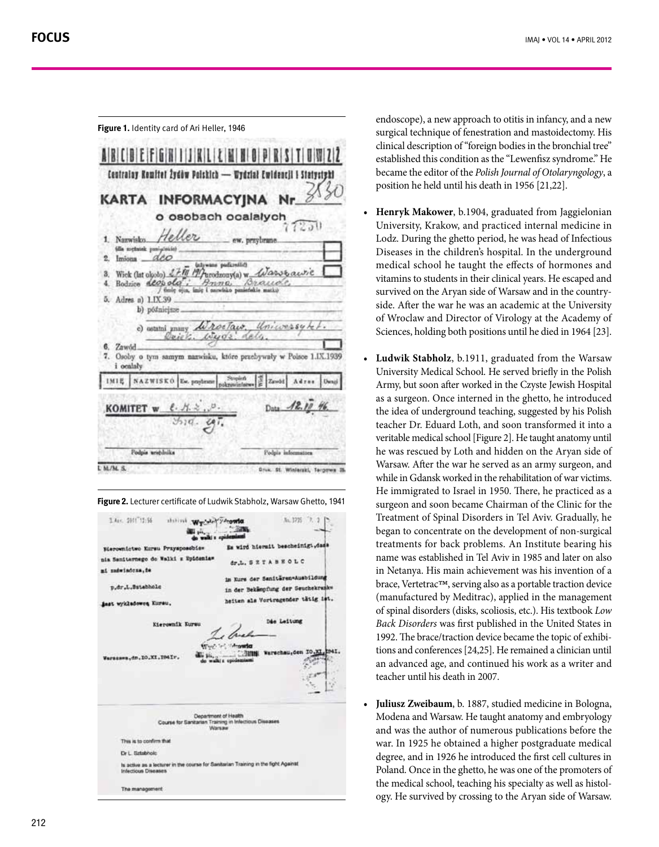**Figure 1.** Identity card of Ari Heller, 1946 ARICO EFITALI LIMI Centralay Romitet Žydėw Polskich - Wydział Ewidencii **KARTA INFORMACYINA** o osobach ocalalych  $251$ Helle 1. Nazwisko, fills nortunek pasi deo  $\bullet$ Indiana Wick (lat olgoto) 27/19 19 Parodromy(a) w Wasse awie Bodzice deopolo" rauo  $\ddot{a}$  $H_{22}$ 5. Adres a) LIX.39 b) późniejsze w roctair c) astatní gnany 6. Zawód  $7.$ Osoby o tym samym nazwisku, które przebywały w Polsce 1.IX.1939 i ocalały **NAZWISKO** IMIE Ew, pearl Podnia worthuika Podpia info  $EM/M.S$ Drux. St. Winierski, Tergowa 3

Figure 2. Lecturer certificate of Ludwik Stabholz, Warsaw Ghetto, 1941

| 1.4gc 2011 12:56                      | shilled We                                                                         |                                    | At. 1725                          |  |
|---------------------------------------|------------------------------------------------------------------------------------|------------------------------------|-----------------------------------|--|
| Bierownictwo Kursu Przyspossbiew      |                                                                                    |                                    | Es wird hiermit bescheinigt, dass |  |
| nia Sanitarnego do Walki z Epidemiaw. |                                                                                    |                                    | dr.L. SZTABHOLC                   |  |
| mi zadwiadcza, że                     |                                                                                    |                                    |                                   |  |
|                                       |                                                                                    |                                    | im Kurs der Saniteren-Ausbildung  |  |
| p.dr.L.Sstabholc                      |                                                                                    | in der Bekämpfung der Seuchekrunks |                                   |  |
| Anst wykladoweg Kursu.                |                                                                                    | heiten als Vortragender tätig ist. |                                   |  |
|                                       | Kierownik Kursu                                                                    |                                    | Die Leitung                       |  |
| Warsssen, dn. 10.XI. IO4Ir.           |                                                                                    | do walki z upodemiami              | Warschau, den IO.XI               |  |
|                                       | Course for Sanitarian Training in Infectious Diseases                              | Department of Health<br>Warsaw     |                                   |  |
| This is to confirm that               |                                                                                    |                                    |                                   |  |
| Dr.L. Sztabholc                       |                                                                                    |                                    |                                   |  |
| <b>Infectious Diseases</b>            | Is active as a lecturer in the course for Sanitarian Training in the fight Against |                                    |                                   |  |
| The management                        |                                                                                    |                                    |                                   |  |

endoscope), a new approach to otitis in infancy, and a new surgical technique of fenestration and mastoidectomy. His clinical description of "foreign bodies in the bronchial tree" established this condition as the "Lewenfisz syndrome." He became the editor of the Polish Journal of Otolaryngology, a position he held until his death in 1956 [21,22].

- Henryk Makower, b.1904, graduated from Jaggielonian University, Krakow, and practiced internal medicine in Lodz. During the ghetto period, he was head of Infectious Diseases in the children's hospital. In the underground medical school he taught the effects of hormones and vitamins to students in their clinical years. He escaped and side. After the war he was an academic at the University survived on the Aryan side of Warsaw and in the countryof Wroclaw and Director of Virology at the Academy of Sciences, holding both positions until he died in 1964 [23].
- Ludwik Stabholz, b.1911, graduated from the Warsaw University Medical School. He served briefly in the Polish Army, but soon after worked in the Czyste Jewish Hospital as a surgeon. Once interned in the ghetto, he introduced the idea of underground teaching, suggested by his Polish teacher Dr. Eduard Loth, and soon transformed it into a veritable medical school [Figure 2]. He taught anatomy until he was rescued by Loth and hidden on the Aryan side of Warsaw. After the war he served as an army surgeon, and while in Gdansk worked in the rehabilitation of war victims. He immigrated to Israel in 1950. There, he practiced as a surgeon and soon became Chairman of the Clinic for the Treatment of Spinal Disorders in Tel Aviv. Gradually, he began to concentrate on the development of non-surgical treatments for back problems. An Institute bearing his name was established in Tel Aviv in 1985 and later on also in Netanya. His main achievement was his invention of a brace, Vertetrac™, serving also as a portable traction device<br>(manufactured by Meditrac), applied in the management of spinal disorders (disks, scoliosis, etc.). His textbook Low Back Disorders was first published in the United States in tions and conferences [24,25]. He remained a clinician until 1992. The brace/traction device became the topic of exhibian advanced age, and continued his work as a writer and teacher until his death in 2007.
- Juliusz Zweibaum, b. 1887, studied medicine in Bologna, Modena and Warsaw. He taught anatomy and embryology and was the author of numerous publications before the war. In 1925 he obtained a higher postgraduate medical degree, and in 1926 he introduced the first cell cultures in Poland. Once in the ghetto, he was one of the promoters of ogy. He survived by crossing to the Aryan side of Warsaw. the medical school, teaching his specialty as well as histol-